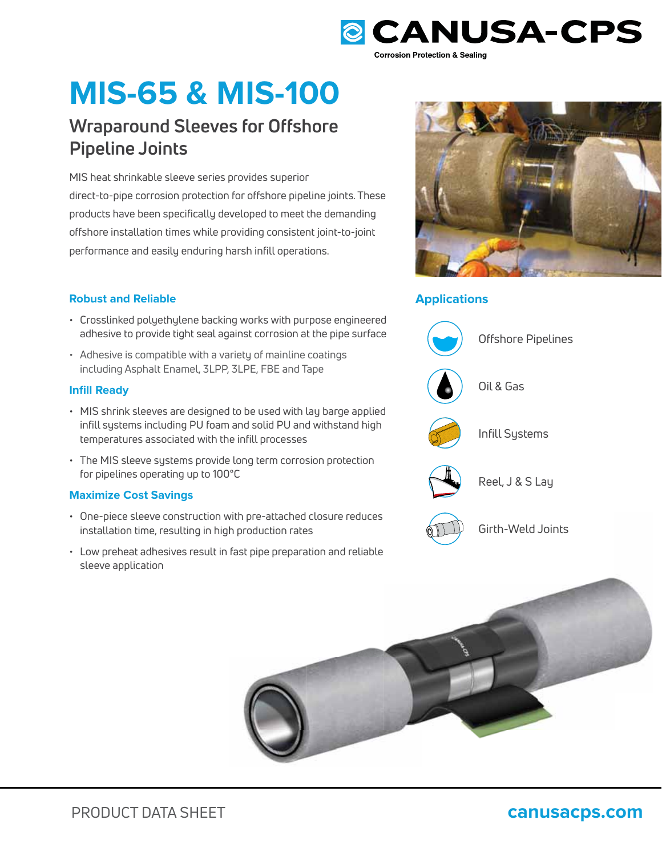

# **MIS-65 & MIS-100**

## **Wraparound Sleeves for Offshore Pipeline Joints**

MIS heat shrinkable sleeve series provides superior direct-to-pipe corrosion protection for offshore pipeline joints. These products have been specifically developed to meet the demanding offshore installation times while providing consistent joint-to-joint performance and easily enduring harsh infill operations.

### **Robust and Reliable Applications**

- Crosslinked polyethylene backing works with purpose engineered adhesive to provide tight seal against corrosion at the pipe surface
- Adhesive is compatible with a variety of mainline coatings including Asphalt Enamel, 3LPP, 3LPE, FBE and Tape

### **Infill Ready**

- MIS shrink sleeves are designed to be used with lay barge applied infill systems including PU foam and solid PU and withstand high temperatures associated with the infill processes
- The MIS sleeve systems provide long term corrosion protection for pipelines operating up to 100°C

### **Maximize Cost Savings**

- One-piece sleeve construction with pre-attached closure reduces installation time, resulting in high production rates
- installation time, resulting in high production rates<br>• Low preheat adhesives result in fast pipe preparation and reliable sleeve application